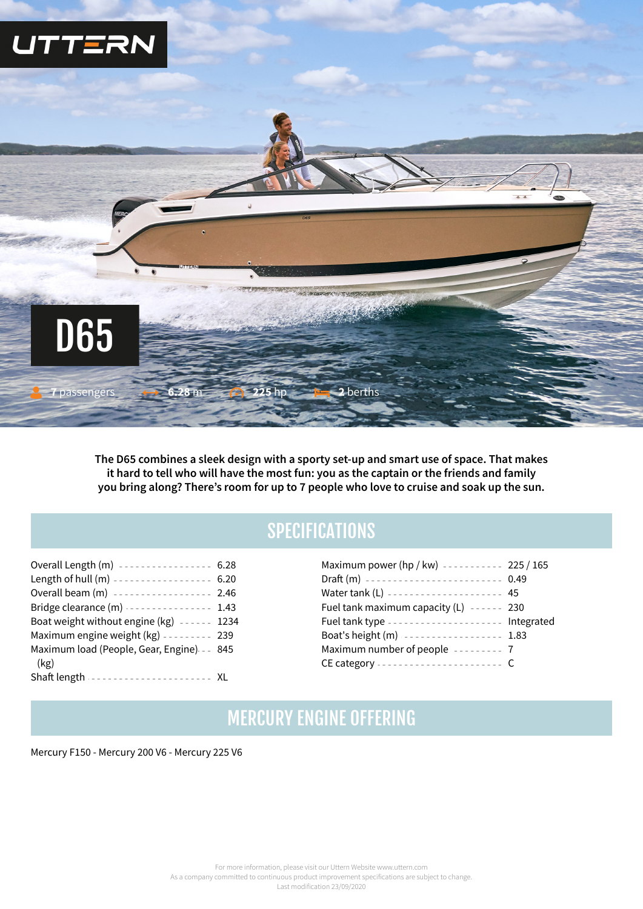

**The D65 combines a sleek design with a sporty set-up and smart use of space. That makes it hard to tell who will have the most fun: you as the captain or the friends and family you bring along? There's room for up to 7 people who love to cruise and soak up the sun.**

## **SPECIFICATIONS**

| Overall Length (m) ---------------- 6.28            |  |
|-----------------------------------------------------|--|
| Length of hull (m) ----------------- 6.20           |  |
| Overall beam (m) ----------------- 2.46             |  |
| Bridge clearance (m)  1.43                          |  |
| Boat weight without engine (kg) ------ 1234         |  |
| Maximum engine weight $(kg)$ --------- 239          |  |
| Maximum load (People, Gear, Engine) - - 845<br>(kg) |  |
| Shaft length ---------------------- XL              |  |

| Maximum power (hp / kw) ---------- 225 / 165   |  |
|------------------------------------------------|--|
| Draft (m) ------------------------ 0.49        |  |
| Water tank (L) -------------------- 45         |  |
| Fuel tank maximum capacity $(L)$ ------ 230    |  |
|                                                |  |
| Fuel tank type -------------------- Integrated |  |
| Boat's height (m) ----------------- 1.83       |  |
| Maximum number of people -------- 7            |  |

## MERCURY ENGINE 0FFERING

Mercury F150 - Mercury 200 V6 - Mercury 225 V6